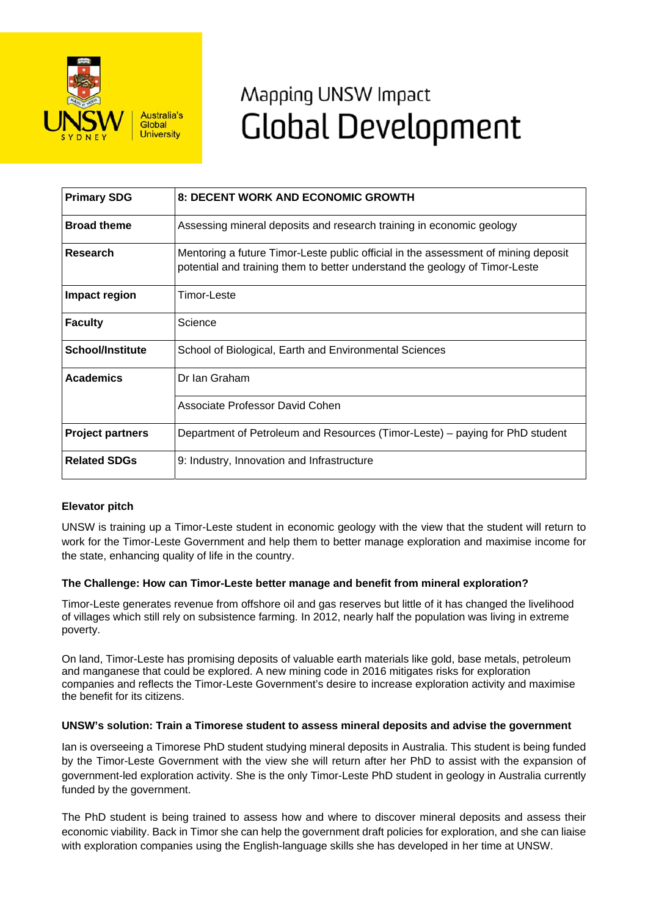

# Mapping UNSW Impact **Global Development**

| <b>Primary SDG</b>      | 8: DECENT WORK AND ECONOMIC GROWTH                                                                                                                                |
|-------------------------|-------------------------------------------------------------------------------------------------------------------------------------------------------------------|
| <b>Broad theme</b>      | Assessing mineral deposits and research training in economic geology                                                                                              |
| Research                | Mentoring a future Timor-Leste public official in the assessment of mining deposit<br>potential and training them to better understand the geology of Timor-Leste |
| Impact region           | Timor-Leste                                                                                                                                                       |
| <b>Faculty</b>          | Science                                                                                                                                                           |
| <b>School/Institute</b> | School of Biological, Earth and Environmental Sciences                                                                                                            |
| <b>Academics</b>        | Dr Ian Graham                                                                                                                                                     |
|                         | Associate Professor David Cohen                                                                                                                                   |
| <b>Project partners</b> | Department of Petroleum and Resources (Timor-Leste) - paying for PhD student                                                                                      |
| <b>Related SDGs</b>     | 9: Industry, Innovation and Infrastructure                                                                                                                        |

# **Elevator pitch**

UNSW is training up a Timor-Leste student in economic geology with the view that the student will return to work for the Timor-Leste Government and help them to better manage exploration and maximise income for the state, enhancing quality of life in the country.

## **The Challenge: How can Timor-Leste better manage and benefit from mineral exploration?**

Timor-Leste generates revenue from offshore oil and gas reserves but little of it has changed the livelihood of villages which still rely on subsistence farming. In 2012, nearly half the population was living in extreme poverty.

On land, Timor-Leste has promising deposits of valuable earth materials like gold, base metals, petroleum and manganese that could be explored. A new mining code in 2016 mitigates risks for exploration companies and reflects the Timor-Leste Government's desire to increase exploration activity and maximise the benefit for its citizens.

## **UNSW's solution: Train a Timorese student to assess mineral deposits and advise the government**

Ian is overseeing a Timorese PhD student studying mineral deposits in Australia. This student is being funded by the Timor-Leste Government with the view she will return after her PhD to assist with the expansion of government-led exploration activity. She is the only Timor-Leste PhD student in geology in Australia currently funded by the government.

The PhD student is being trained to assess how and where to discover mineral deposits and assess their economic viability. Back in Timor she can help the government draft policies for exploration, and she can liaise with exploration companies using the English-language skills she has developed in her time at UNSW.